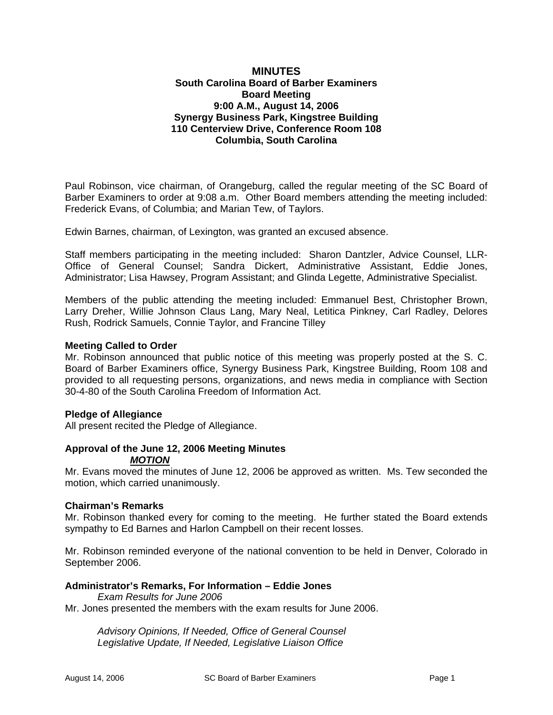## **MINUTES South Carolina Board of Barber Examiners Board Meeting 9:00 A.M., August 14, 2006 Synergy Business Park, Kingstree Building 110 Centerview Drive, Conference Room 108 Columbia, South Carolina**

Paul Robinson, vice chairman, of Orangeburg, called the regular meeting of the SC Board of Barber Examiners to order at 9:08 a.m. Other Board members attending the meeting included: Frederick Evans, of Columbia; and Marian Tew, of Taylors.

Edwin Barnes, chairman, of Lexington, was granted an excused absence.

Staff members participating in the meeting included: Sharon Dantzler, Advice Counsel, LLR-Office of General Counsel; Sandra Dickert, Administrative Assistant, Eddie Jones, Administrator; Lisa Hawsey, Program Assistant; and Glinda Legette, Administrative Specialist.

Members of the public attending the meeting included: Emmanuel Best, Christopher Brown, Larry Dreher, Willie Johnson Claus Lang, Mary Neal, Letitica Pinkney, Carl Radley, Delores Rush, Rodrick Samuels, Connie Taylor, and Francine Tilley

#### **Meeting Called to Order**

Mr. Robinson announced that public notice of this meeting was properly posted at the S. C. Board of Barber Examiners office, Synergy Business Park, Kingstree Building, Room 108 and provided to all requesting persons, organizations, and news media in compliance with Section 30-4-80 of the South Carolina Freedom of Information Act.

## **Pledge of Allegiance**

All present recited the Pledge of Allegiance.

# **Approval of the June 12, 2006 Meeting Minutes**

#### *MOTION*

Mr. Evans moved the minutes of June 12, 2006 be approved as written. Ms. Tew seconded the motion, which carried unanimously.

## **Chairman's Remarks**

Mr. Robinson thanked every for coming to the meeting. He further stated the Board extends sympathy to Ed Barnes and Harlon Campbell on their recent losses.

Mr. Robinson reminded everyone of the national convention to be held in Denver, Colorado in September 2006.

## **Administrator's Remarks, For Information – Eddie Jones**

*Exam Results for June 2006* Mr. Jones presented the members with the exam results for June 2006.

> *Advisory Opinions, If Needed, Office of General Counsel Legislative Update, If Needed, Legislative Liaison Office*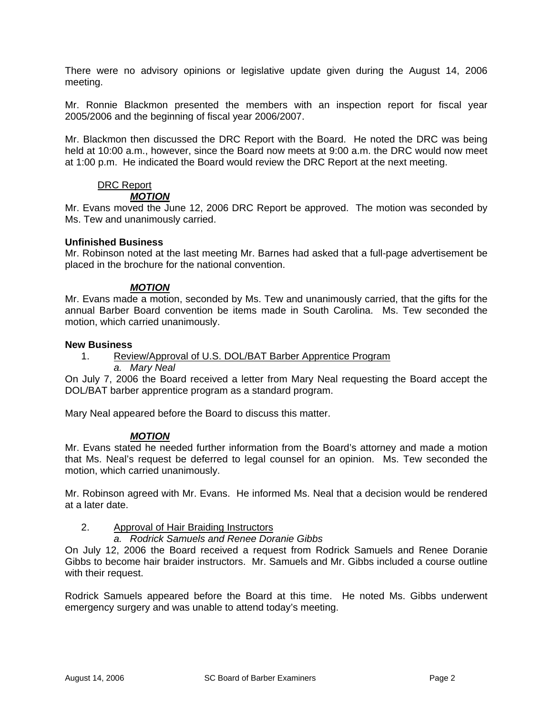There were no advisory opinions or legislative update given during the August 14, 2006 meeting.

Mr. Ronnie Blackmon presented the members with an inspection report for fiscal year 2005/2006 and the beginning of fiscal year 2006/2007.

Mr. Blackmon then discussed the DRC Report with the Board. He noted the DRC was being held at 10:00 a.m., however, since the Board now meets at 9:00 a.m. the DRC would now meet at 1:00 p.m. He indicated the Board would review the DRC Report at the next meeting.

# DRC Report

## *MOTION*

Mr. Evans moved the June 12, 2006 DRC Report be approved. The motion was seconded by Ms. Tew and unanimously carried.

## **Unfinished Business**

Mr. Robinson noted at the last meeting Mr. Barnes had asked that a full-page advertisement be placed in the brochure for the national convention.

## *MOTION*

Mr. Evans made a motion, seconded by Ms. Tew and unanimously carried, that the gifts for the annual Barber Board convention be items made in South Carolina. Ms. Tew seconded the motion, which carried unanimously.

## **New Business**

- 1. Review/Approval of U.S. DOL/BAT Barber Apprentice Program
	- *a. Mary Neal*

On July 7, 2006 the Board received a letter from Mary Neal requesting the Board accept the DOL/BAT barber apprentice program as a standard program.

Mary Neal appeared before the Board to discuss this matter.

## *MOTION*

Mr. Evans stated he needed further information from the Board's attorney and made a motion that Ms. Neal's request be deferred to legal counsel for an opinion. Ms. Tew seconded the motion, which carried unanimously.

Mr. Robinson agreed with Mr. Evans. He informed Ms. Neal that a decision would be rendered at a later date.

## 2. Approval of Hair Braiding Instructors

## *a. Rodrick Samuels and Renee Doranie Gibbs*

On July 12, 2006 the Board received a request from Rodrick Samuels and Renee Doranie Gibbs to become hair braider instructors. Mr. Samuels and Mr. Gibbs included a course outline with their request.

Rodrick Samuels appeared before the Board at this time. He noted Ms. Gibbs underwent emergency surgery and was unable to attend today's meeting.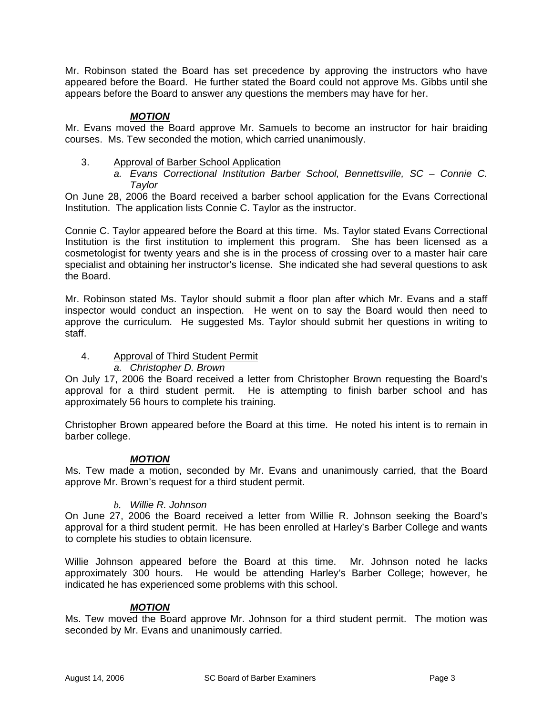Mr. Robinson stated the Board has set precedence by approving the instructors who have appeared before the Board. He further stated the Board could not approve Ms. Gibbs until she appears before the Board to answer any questions the members may have for her.

## *MOTION*

Mr. Evans moved the Board approve Mr. Samuels to become an instructor for hair braiding courses. Ms. Tew seconded the motion, which carried unanimously.

3. Approval of Barber School Application *a. Evans Correctional Institution Barber School, Bennettsville, SC – Connie C. Taylor* 

On June 28, 2006 the Board received a barber school application for the Evans Correctional Institution. The application lists Connie C. Taylor as the instructor.

Connie C. Taylor appeared before the Board at this time. Ms. Taylor stated Evans Correctional Institution is the first institution to implement this program. She has been licensed as a cosmetologist for twenty years and she is in the process of crossing over to a master hair care specialist and obtaining her instructor's license. She indicated she had several questions to ask the Board.

Mr. Robinson stated Ms. Taylor should submit a floor plan after which Mr. Evans and a staff inspector would conduct an inspection. He went on to say the Board would then need to approve the curriculum. He suggested Ms. Taylor should submit her questions in writing to staff.

4. Approval of Third Student Permit

## *a. Christopher D. Brown*

On July 17, 2006 the Board received a letter from Christopher Brown requesting the Board's approval for a third student permit. He is attempting to finish barber school and has approximately 56 hours to complete his training.

Christopher Brown appeared before the Board at this time. He noted his intent is to remain in barber college.

## *MOTION*

Ms. Tew made a motion, seconded by Mr. Evans and unanimously carried, that the Board approve Mr. Brown's request for a third student permit.

## *b. Willie R. Johnson*

On June 27, 2006 the Board received a letter from Willie R. Johnson seeking the Board's approval for a third student permit. He has been enrolled at Harley's Barber College and wants to complete his studies to obtain licensure.

Willie Johnson appeared before the Board at this time. Mr. Johnson noted he lacks approximately 300 hours. He would be attending Harley's Barber College; however, he indicated he has experienced some problems with this school.

## *MOTION*

Ms. Tew moved the Board approve Mr. Johnson for a third student permit. The motion was seconded by Mr. Evans and unanimously carried.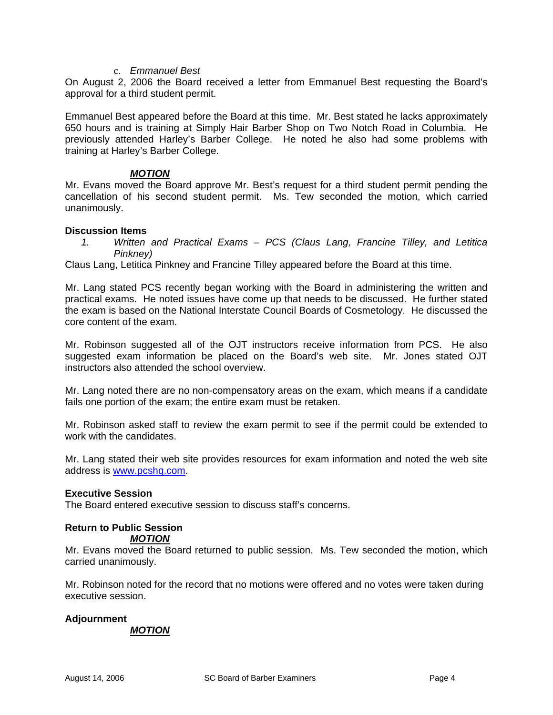#### c. *Emmanuel Best*

On August 2, 2006 the Board received a letter from Emmanuel Best requesting the Board's approval for a third student permit.

Emmanuel Best appeared before the Board at this time. Mr. Best stated he lacks approximately 650 hours and is training at Simply Hair Barber Shop on Two Notch Road in Columbia. He previously attended Harley's Barber College. He noted he also had some problems with training at Harley's Barber College.

#### *MOTION*

Mr. Evans moved the Board approve Mr. Best's request for a third student permit pending the cancellation of his second student permit. Ms. Tew seconded the motion, which carried unanimously.

#### **Discussion Items**

*1. Written and Practical Exams – PCS (Claus Lang, Francine Tilley, and Letitica Pinkney)* 

Claus Lang, Letitica Pinkney and Francine Tilley appeared before the Board at this time.

Mr. Lang stated PCS recently began working with the Board in administering the written and practical exams. He noted issues have come up that needs to be discussed. He further stated the exam is based on the National Interstate Council Boards of Cosmetology. He discussed the core content of the exam.

Mr. Robinson suggested all of the OJT instructors receive information from PCS. He also suggested exam information be placed on the Board's web site. Mr. Jones stated OJT instructors also attended the school overview.

Mr. Lang noted there are no non-compensatory areas on the exam, which means if a candidate fails one portion of the exam; the entire exam must be retaken.

Mr. Robinson asked staff to review the exam permit to see if the permit could be extended to work with the candidates.

Mr. Lang stated their web site provides resources for exam information and noted the web site address is [www.pcshq.com](http://www.pcshq.com/).

## **Executive Session**

The Board entered executive session to discuss staff's concerns.

## **Return to Public Session**

## *MOTION*

Mr. Evans moved the Board returned to public session. Ms. Tew seconded the motion, which carried unanimously.

Mr. Robinson noted for the record that no motions were offered and no votes were taken during executive session.

## **Adjournment**

#### *MOTION*